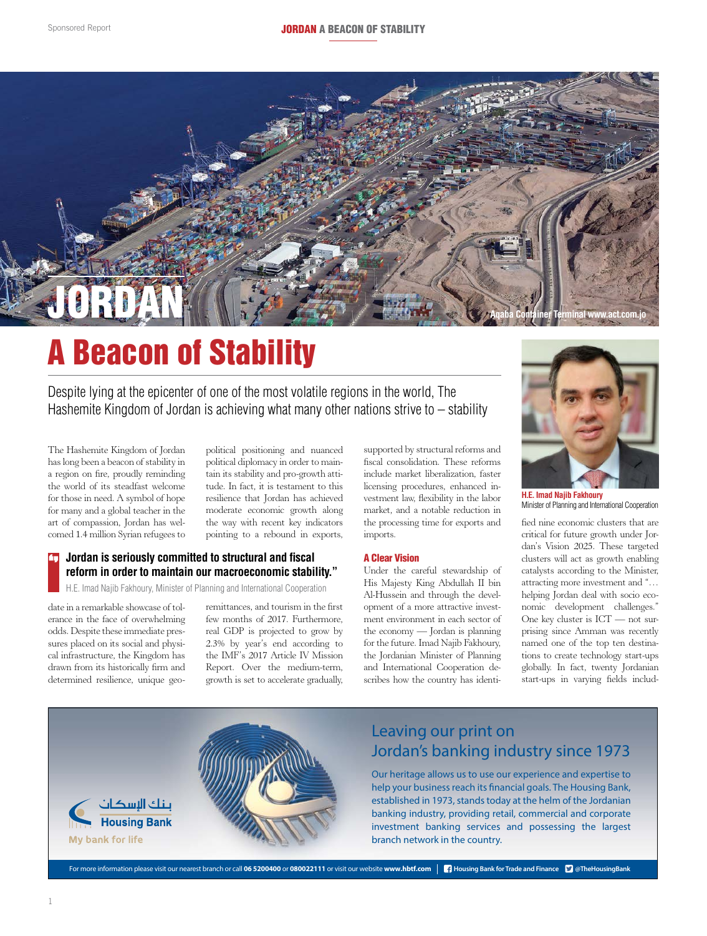

# A Beacon of Stability

Despite lying at the epicenter of one of the most volatile regions in the world, The Hashemite Kingdom of Jordan is achieving what many other nations strive to – stability

The Hashemite Kingdom of Jordan has long been a beacon of stability in a region on fire, proudly reminding the world of its steadfast welcome for those in need. A symbol of hope for many and a global teacher in the art of compassion, Jordan has welcomed 1.4 million Syrian refugees to

political positioning and nuanced political diplomacy in order to maintain its stability and pro-growth attitude. In fact, it is testament to this resilience that Jordan has achieved moderate economic growth along the way with recent key indicators pointing to a rebound in exports,

### **Jordan is seriously committed to structural and fiscal reform in order to maintain our macroeconomic stability."**

H.E. Imad Najib Fakhoury, Minister of Planning and International Cooperation

date in a remarkable showcase of tolerance in the face of overwhelming odds. Despite these immediate pressures placed on its social and physical infrastructure, the Kingdom has drawn from its historically firm and determined resilience, unique geo-

remittances, and tourism in the first few months of 2017. Furthermore, real GDP is projected to grow by 2.3% by year's end according to the IMF's 2017 Article IV Mission Report. Over the medium-term, resilience, unique geo- growth is set to accelerate gradually, scribes how the country

supported by structural reforms and fiscal consolidation. These reforms include market liberalization, faster licensing procedures, enhanced investment law, flexibility in the labor market, and a notable reduction in the processing time for exports and imports.

#### A Clear Vision

Under the careful stewardship of His Majesty King Abdullah II bin Al-Hussein and through the development of a more attractive investment environment in each sector of the economy — Jordan is planning for the future. Imad Najib Fakhoury, the Jordanian Minister of Planning and International Cooperation describes how the country has identi-



**H.E. Imad Najib Fakhoury** Minister of Planning and International Cooperation

fied nine economic clusters that are critical for future growth under Jordan's Vision 2025. These targeted clusters will act as growth enabling catalysts according to the Minister, attracting more investment and "… helping Jordan deal with socio economic development challenges." One key cluster is ICT — not surprising since Amman was recently named one of the top ten destinations to create technology start-ups globally. In fact, twenty Jordanian start-ups in varying fields includ-



For more information please visit our nearest branch or call 06 5200400 or 080022111 or visit our website www.hbtf.com | **H**ousing Bank for Trade and Finance **C** @TheHousingBank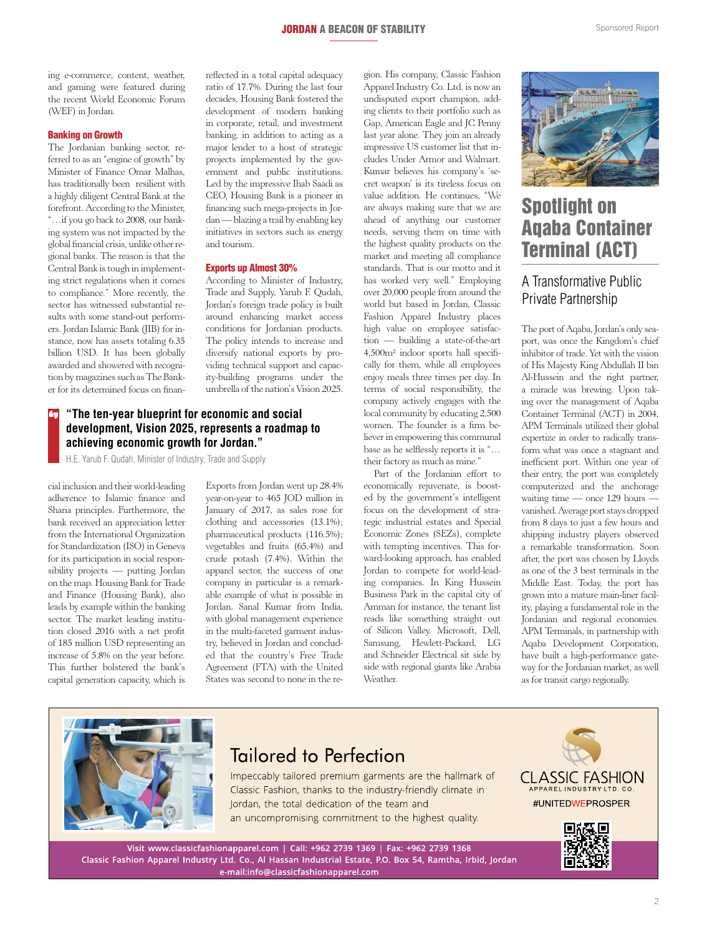ing e-commerce, content, weather, and gaming were featured during the recent World Economic Forum (WEF) in Jordan.

### Banking on Growth

The Jordanian banking sector, referred to as an "engine of growth" by Minister of Finance Omar Malhas, has traditionally been resilient with a highly diligent Central Bank at the forefront. According to the Minister, "…if you go back to 2008, our banking system was not impacted by the global financial crisis, unlike other regional banks. The reason is that the Central Bank is tough in implementing strict regulations when it comes to compliance." More recently, the sector has witnessed substantial results with some stand-out performers. Jordan Islamic Bank (JIB) for instance, now has assets totaling 6.35 billion USD. It has been globally awarded and showered with recognition by magazines such as The Banker for its determined focus on finan-

reflected in a total capital adequacy ratio of 17.7%. During the last four decades, Housing Bank fostered the development of modern banking in corporate, retail, and investment banking, in addition to acting as a major lender to a host of strategic projects implemented by the government and public institutions. Led by the impressive Ihab Saadi as CEO, Housing Bank is a pioneer in financing such mega-projects in Jordan — blazing a trail by enabling key initiatives in sectors such as energy and tourism.

#### Exports up Almost 30%

According to Minister of Industry, Trade and Supply, Yarub F. Qudah, Jordan's foreign trade policy is built around enhancing market access conditions for Jordanian products. The policy intends to increase and diversify national exports by providing technical support and capacity-building programs under the umbrella of the nation's Vision 2025.

### **"The ten-year blueprint for economic and social development, Vision 2025, represents a roadmap to achieving economic growth for Jordan."**

H.E. Yarub F. Qudah, Minister of Industry, Trade and Supply

cial inclusion and their world-leading adherence to Islamic finance and Sharia principles. Furthermore, the bank received an appreciation letter from the International Organization for Standardization (ISO) in Geneva for its participation in social responsibility projects — putting Jordan on the map. Housing Bank for Trade and Finance (Housing Bank), also leads by example within the banking sector. The market leading institution closed 2016 with a net profit of 185 million USD representing an increase of 5.8% on the year before. This further bolstered the bank's capital generation capacity, which is

Exports from Jordan went up 28.4% year-on-year to 465 JOD million in January of 2017, as sales rose for clothing and accessories (13.1%); pharmaceutical products (116.5%); vegetables and fruits (65.4%) and crude potash (7.4%). Within the apparel sector, the success of one company in particular is a remarkable example of what is possible in Jordan. Sanal Kumar from India, with global management experience in the multi-faceted garment industry, believed in Jordan and concluded that the country's Free Trade Agreement (FTA) with the United States was second to none in the region. His company, Classic Fashion Apparel Industry Co. Ltd. is now an undisputed export champion, adding clients to their portfolio such as Gap, American Eagle and JC Penny last year alone. They join an already impressive US customer list that includes Under Armor and Walmart. Kumar believes his company's 'secret weapon' is its tireless focus on value addition. He continues, "We are always making sure that we are ahead of anything our customer needs, serving them on time with the highest quality products on the market and meeting all compliance standards. That is our motto and it has worked very well." Employing over 20,000 people from around the world but based in Jordan, Classic Fashion Apparel Industry places high value on employee satisfaction — building a state-of-the-art 4,500m² indoor sports hall specifically for them, while all employees enjoy meals three times per day. In terms of social responsibility, the company actively engages with the local community by educating 2,500 women. The founder is a firm believer in empowering this communal base as he selflessly reports it is "… their factory as much as mine."

Part of the Jordanian effort to economically rejuvenate, is boosted by the government's intelligent focus on the development of strategic industrial estates and Special Economic Zones (SEZs), complete with tempting incentives. This forward-looking approach, has enabled Jordan to compete for world-leading companies. In King Hussein Business Park in the capital city of Amman for instance, the tenant list reads like something straight out of Silicon Valley. Microsoft, Dell, Samsung, Hewlett-Packard, LG and Schneider Electrical sit side by side with regional giants like Arabia Weather.



## Spotlight on Aqaba Container Terminal (ACT)

## A Transformative Public Private Partnership

The port of Aqaba, Jordan's only seaport, was once the Kingdom's chief inhibitor of trade. Yet with the vision of His Majesty King Abdullah II bin Al-Hussein and the right partner, a miracle was brewing. Upon taking over the management of Aqaba Container Terminal (ACT) in 2004, APM Terminals utilized their global expertize in order to radically transform what was once a stagnant and inefficient port. Within one year of their entry, the port was completely computerized and the anchorage waiting time — once 129 hours vanished. Average port stays dropped from 8 days to just a few hours and shipping industry players observed a remarkable transformation. Soon after, the port was chosen by Lloyds as one of the 3 best terminals in the Middle East. Today, the port has grown into a mature main-liner facility, playing a fundamental role in the Jordanian and regional economies. APM Terminals, in partnership with Aqaba Development Corporation, have built a high-performance gateway for the Jordanian market, as well as for transit cargo regionally.



# **Tailored to Perfection**

Impeccably tailored premium garments are the hallmark of Classic Fashion, thanks to the industry-friendly climate in lordan, the total dedication of the team and an uncompromising commitment to the highest quality.



Visit www.classicfashionapparel.com | Call: +962 2739 1369 | Fax: +962 2739 1368 Classic Fashion Apparel Industry Ltd. Co., Al Hassan Industrial Estate, P.O. Box 54, Ramtha, Irbid, Jordan e-mail:info@classicfashionapparel.com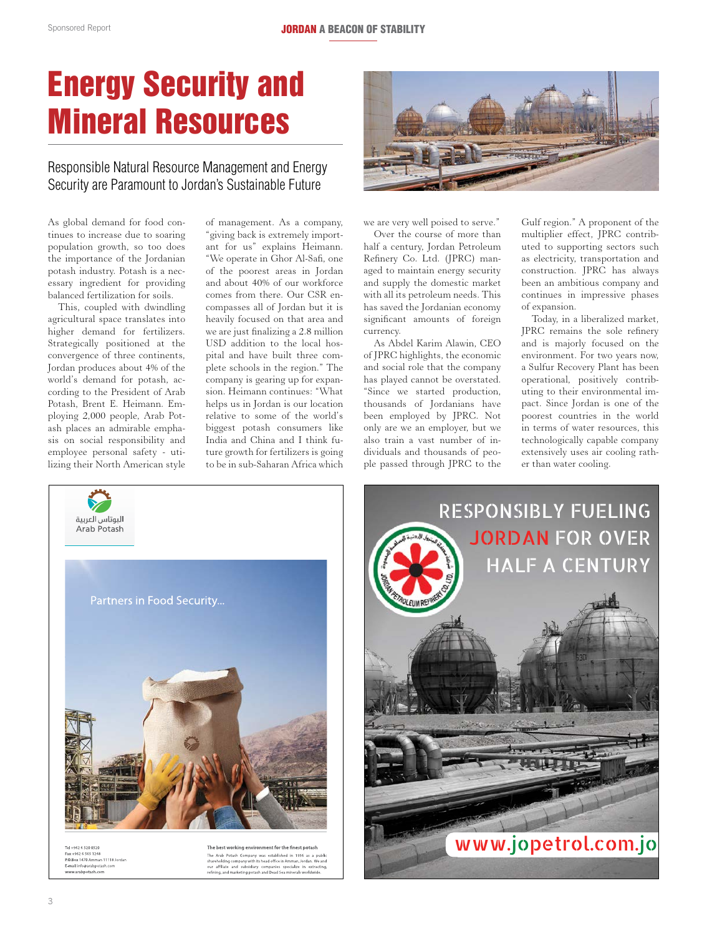# Energy Security and Mineral Resources

### Responsible Natural Resource Management and Energy Security are Paramount to Jordan's Sustainable Future

As global demand for food continues to increase due to soaring population growth, so too does the importance of the Jordanian potash industry. Potash is a necessary ingredient for providing balanced fertilization for soils.

This, coupled with dwindling agricultural space translates into higher demand for fertilizers. Strategically positioned at the convergence of three continents, Jordan produces about 4% of the world's demand for potash, according to the President of Arab Potash, Brent E. Heimann. Employing 2,000 people, Arab Potash places an admirable emphasis on social responsibility and employee personal safety - utilizing their North American style

of management. As a company, "giving back is extremely important for us" explains Heimann. "We operate in Ghor Al-Safi, one of the poorest areas in Jordan and about 40% of our workforce comes from there. Our CSR encompasses all of Jordan but it is heavily focused on that area and we are just finalizing a 2.8 million USD addition to the local hospital and have built three complete schools in the region." The company is gearing up for expansion. Heimann continues: "What helps us in Jordan is our location relative to some of the world's biggest potash consumers like India and China and I think future growth for fertilizers is going to be in sub-Saharan Africa which



we are very well poised to serve."

Over the course of more than half a century, Jordan Petroleum Refinery Co. Ltd. (JPRC) managed to maintain energy security and supply the domestic market with all its petroleum needs. This has saved the Jordanian economy significant amounts of foreign currency.

As Abdel Karim Alawin, CEO of JPRC highlights, the economic and social role that the company has played cannot be overstated. "Since we started production, thousands of Jordanians have been employed by JPRC. Not only are we an employer, but we also train a vast number of individuals and thousands of people passed through JPRC to the Gulf region." A proponent of the multiplier effect, JPRC contributed to supporting sectors such as electricity, transportation and construction. JPRC has always been an ambitious company and continues in impressive phases of expansion.

Today, in a liberalized market, JPRC remains the sole refinery and is majorly focused on the environment. For two years now, a Sulfur Recovery Plant has been operational, positively contributing to their environmental impact. Since Jordan is one of the poorest countries in the world in terms of water resources, this technologically capable company extensively uses air cooling rather than water cooling.



 $-96265651248$ P.O.Box 1470 Amman 11118 Jordan E-mail info@arabp www.arabpotash.com

The best working environment for the finest potash The Arab Potash Company was established in 1956 as a publish<br>areholding company with its head office in Amman, Jordan, We and<br>our affiliate and subsidiary companies specialize in extracting<br>pure refining, and marketing pot